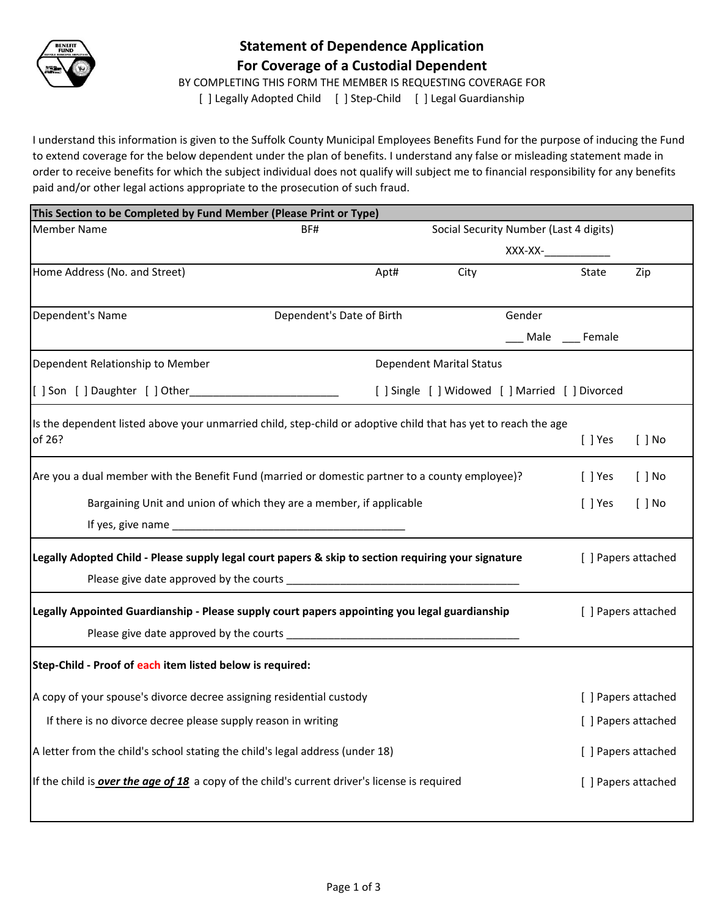

## **Statement of Dependence Application For Coverage of a Custodial Dependent**

BY COMPLETING THIS FORM THE MEMBER IS REQUESTING COVERAGE FOR

[ ] Legally Adopted Child [ ] Step-Child [ ] Legal Guardianship

I understand this information is given to the Suffolk County Municipal Employees Benefits Fund for the purpose of inducing the Fund to extend coverage for the below dependent under the plan of benefits. I understand any false or misleading statement made in order to receive benefits for which the subject individual does not qualify will subject me to financial responsibility for any benefits paid and/or other legal actions appropriate to the prosecution of such fraud.

| This Section to be Completed by Fund Member (Please Print or Type)                                             |                                                                     |                                        |                                                 |        |                      |                     |  |
|----------------------------------------------------------------------------------------------------------------|---------------------------------------------------------------------|----------------------------------------|-------------------------------------------------|--------|----------------------|---------------------|--|
| Member Name                                                                                                    | BF#                                                                 | Social Security Number (Last 4 digits) |                                                 |        |                      |                     |  |
|                                                                                                                |                                                                     |                                        |                                                 |        |                      |                     |  |
| Home Address (No. and Street)                                                                                  | Apt#                                                                |                                        | City                                            |        | State                | Zip                 |  |
|                                                                                                                |                                                                     |                                        |                                                 |        |                      |                     |  |
| Dependent's Name                                                                                               | Dependent's Date of Birth                                           |                                        |                                                 | Gender |                      |                     |  |
|                                                                                                                |                                                                     |                                        |                                                 |        | ___ Male ____ Female |                     |  |
| Dependent Relationship to Member                                                                               |                                                                     | <b>Dependent Marital Status</b>        |                                                 |        |                      |                     |  |
| [ ] Son [ ] Daughter [ ] Other                                                                                 |                                                                     |                                        | [ ] Single [ ] Widowed [ ] Married [ ] Divorced |        |                      |                     |  |
| Is the dependent listed above your unmarried child, step-child or adoptive child that has yet to reach the age |                                                                     |                                        |                                                 |        |                      |                     |  |
| of 26?                                                                                                         |                                                                     |                                        |                                                 |        | $[$ ] Yes            | $[ ]$ No            |  |
| Are you a dual member with the Benefit Fund (married or domestic partner to a county employee)?                |                                                                     |                                        |                                                 |        | $[ ]$ Yes            | $[ ]$ No            |  |
|                                                                                                                | Bargaining Unit and union of which they are a member, if applicable |                                        |                                                 |        | $[ ]$ Yes            | $[ ]$ No            |  |
|                                                                                                                |                                                                     |                                        |                                                 |        |                      |                     |  |
| Legally Adopted Child - Please supply legal court papers & skip to section requiring your signature            |                                                                     |                                        |                                                 |        | [ ] Papers attached  |                     |  |
|                                                                                                                |                                                                     |                                        |                                                 |        |                      |                     |  |
| Legally Appointed Guardianship - Please supply court papers appointing you legal guardianship                  |                                                                     |                                        |                                                 |        | [ ] Papers attached  |                     |  |
|                                                                                                                |                                                                     |                                        |                                                 |        |                      |                     |  |
| Step-Child - Proof of each item listed below is required:                                                      |                                                                     |                                        |                                                 |        |                      |                     |  |
| A copy of your spouse's divorce decree assigning residential custody                                           |                                                                     |                                        |                                                 |        |                      | [ ] Papers attached |  |
| If there is no divorce decree please supply reason in writing                                                  |                                                                     |                                        |                                                 |        |                      | [ ] Papers attached |  |
| A letter from the child's school stating the child's legal address (under 18)                                  |                                                                     |                                        |                                                 |        |                      | [ ] Papers attached |  |
| If the child is <b>over the age of 18</b> a copy of the child's current driver's license is required           |                                                                     |                                        |                                                 |        | [ ] Papers attached  |                     |  |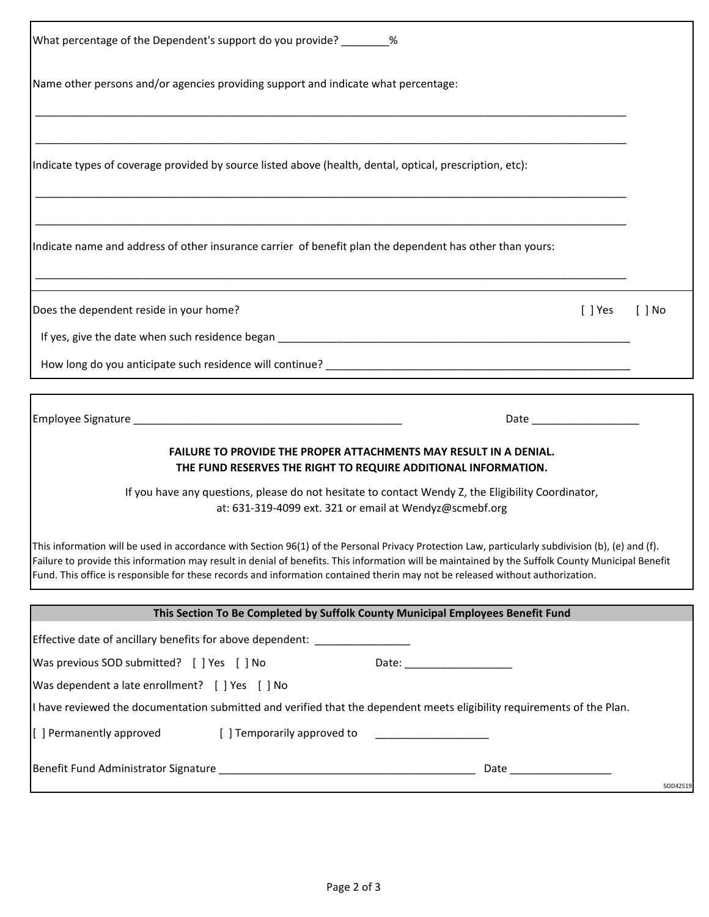| What percentage of the Dependent's support do you provide? ________%                                                                                                                                                                                                                                                                                                                                                                     |          |
|------------------------------------------------------------------------------------------------------------------------------------------------------------------------------------------------------------------------------------------------------------------------------------------------------------------------------------------------------------------------------------------------------------------------------------------|----------|
| Name other persons and/or agencies providing support and indicate what percentage:                                                                                                                                                                                                                                                                                                                                                       |          |
| Indicate types of coverage provided by source listed above (health, dental, optical, prescription, etc):                                                                                                                                                                                                                                                                                                                                 |          |
| Indicate name and address of other insurance carrier of benefit plan the dependent has other than yours:                                                                                                                                                                                                                                                                                                                                 |          |
| Does the dependent reside in your home?<br>$[ ]$ Yes<br>I I No                                                                                                                                                                                                                                                                                                                                                                           |          |
|                                                                                                                                                                                                                                                                                                                                                                                                                                          |          |
|                                                                                                                                                                                                                                                                                                                                                                                                                                          |          |
|                                                                                                                                                                                                                                                                                                                                                                                                                                          |          |
| FAILURE TO PROVIDE THE PROPER ATTACHMENTS MAY RESULT IN A DENIAL.<br>THE FUND RESERVES THE RIGHT TO REQUIRE ADDITIONAL INFORMATION.                                                                                                                                                                                                                                                                                                      |          |
| If you have any questions, please do not hesitate to contact Wendy Z, the Eligibility Coordinator,<br>at: 631-319-4099 ext. 321 or email at Wendyz@scmebf.org                                                                                                                                                                                                                                                                            |          |
| This information will be used in accordance with Section 96(1) of the Personal Privacy Protection Law, particularly subdivision (b), (e) and (f).<br>Failure to provide this information may result in denial of benefits. This information will be maintained by the Suffolk County Municipal Benefit<br>Fund. This office is responsible for these records and information contained therin may not be released without authorization. |          |
| This Section To Be Completed by Suffolk County Municipal Employees Benefit Fund                                                                                                                                                                                                                                                                                                                                                          |          |
| Effective date of ancillary benefits for above dependent: ______________________                                                                                                                                                                                                                                                                                                                                                         |          |
| Was previous SOD submitted? [ ] Yes [ ] No                                                                                                                                                                                                                                                                                                                                                                                               |          |
| Was dependent a late enrollment? [ ] Yes [ ] No                                                                                                                                                                                                                                                                                                                                                                                          |          |
| I have reviewed the documentation submitted and verified that the dependent meets eligibility requirements of the Plan.                                                                                                                                                                                                                                                                                                                  |          |
| [ ] Permanently approved<br>[ ] Temporarily approved to                                                                                                                                                                                                                                                                                                                                                                                  |          |
|                                                                                                                                                                                                                                                                                                                                                                                                                                          | SOD42519 |